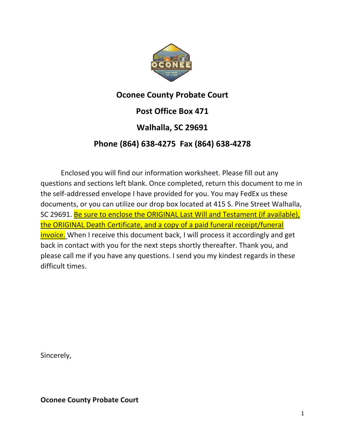

## **Oconee County Probate Court**

**Post Office Box 471**

# **Walhalla, SC 29691**

# **Phone (864) 638-4275 Fax (864) 638-4278**

Enclosed you will find our information worksheet. Please fill out any questions and sections left blank. Once completed, return this document to me in the self-addressed envelope I have provided for you. You may FedEx us these documents, or you can utilize our drop box located at 415 S. Pine Street Walhalla, SC 29691. Be sure to enclose the ORIGINAL Last Will and Testament (if available), the ORIGINAL Death Certificate, and a copy of a paid funeral receipt/funeral invoice. When I receive this document back, I will process it accordingly and get back in contact with you for the next steps shortly thereafter. Thank you, and please call me if you have any questions. I send you my kindest regards in these difficult times.

Sincerely,

**Oconee County Probate Court**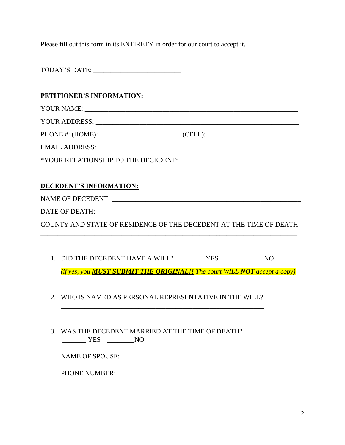Please fill out this form in its ENTIRETY in order for our court to accept it.

#### **PETITIONER'S INFORMATION:**

YOUR NAME:

YOUR ADDRESS: \_\_\_\_\_\_\_\_\_\_\_\_\_\_\_\_\_\_\_\_\_\_\_\_\_\_\_\_\_\_\_\_\_\_\_\_\_\_\_\_\_\_\_\_\_\_\_\_\_\_\_\_\_\_\_\_\_\_\_\_

PHONE #: (HOME):  $(CELL):$ 

EMAIL ADDRESS: \_\_\_\_\_\_\_\_\_\_\_\_\_\_\_\_\_\_\_\_\_\_\_\_\_\_\_\_\_\_\_\_\_\_\_\_\_\_\_\_\_\_\_\_\_\_\_\_\_\_\_\_\_\_\_\_\_\_\_\_

\*YOUR RELATIONSHIP TO THE DECEDENT: \_\_\_\_\_\_\_\_\_\_\_\_\_\_\_\_\_\_\_\_\_\_\_\_\_\_\_\_\_\_\_\_\_\_\_\_

### **DECEDENT'S INFORMATION:**

NAME OF DECEDENT: \_\_\_\_\_\_\_\_\_\_\_\_\_\_\_\_\_\_\_\_\_\_\_\_\_\_\_\_\_\_\_\_\_\_\_\_\_\_\_\_\_\_\_\_\_\_\_\_\_\_\_\_\_\_\_\_

DATE OF DEATH:

COUNTY AND STATE OF RESIDENCE OF THE DECEDENT AT THE TIME OF DEATH: \_\_\_\_\_\_\_\_\_\_\_\_\_\_\_\_\_\_\_\_\_\_\_\_\_\_\_\_\_\_\_\_\_\_\_\_\_\_\_\_\_\_\_\_\_\_\_\_\_\_\_\_\_\_\_\_\_\_\_\_\_\_\_\_\_\_\_\_\_\_\_\_\_\_\_\_

1. DID THE DECEDENT HAVE A WILL? \_\_\_\_\_\_\_\_\_YES \_\_\_\_\_\_\_\_\_\_\_\_NO

*(if yes, you MUST SUBMIT THE ORIGINAL!! The court WILL NOT accept a copy)*

2. WHO IS NAMED AS PERSONAL REPRESENTATIVE IN THE WILL?

\_\_\_\_\_\_\_\_\_\_\_\_\_\_\_\_\_\_\_\_\_\_\_\_\_\_\_\_\_\_\_\_\_\_\_\_\_\_\_\_\_\_\_\_\_\_\_\_\_\_\_\_\_\_\_\_\_\_\_\_

3. WAS THE DECEDENT MARRIED AT THE TIME OF DEATH? \_\_\_\_\_\_\_ YES \_\_\_\_\_\_\_\_NO

NAME OF SPOUSE: \_\_\_\_\_\_\_\_\_\_\_\_\_\_\_\_\_\_\_\_\_\_\_\_\_\_\_\_\_\_\_\_\_\_

PHONE NUMBER: \_\_\_\_\_\_\_\_\_\_\_\_\_\_\_\_\_\_\_\_\_\_\_\_\_\_\_\_\_\_\_\_\_\_\_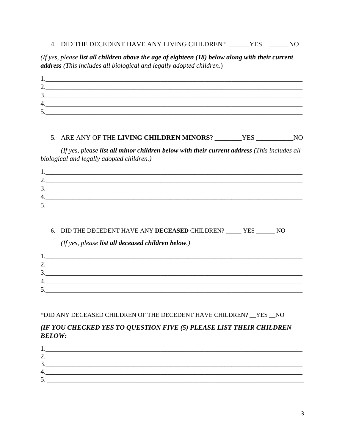#### 4. DID THE DECEDENT HAVE ANY LIVING CHILDREN? \_\_\_\_\_\_YES \_\_\_\_\_\_\_NO

(If yes, please list all children above the age of eighteen  $(18)$  below along with their current address (This includes all biological and legally adopted children.)

| ⌒<br><u>L</u> .   |  |  |
|-------------------|--|--|
| 3.                |  |  |
| 4.                |  |  |
| $\varsigma$<br>J. |  |  |

#### 5. ARE ANY OF THE LIVING CHILDREN MINORS? \_\_\_\_\_\_\_YES \_\_\_\_\_\_\_\_\_\_\_NO

(If yes, please list all minor children below with their current address (This includes all biological and legally adopted children.)

| ⌒<br>$\overline{a}$ . |  |  |
|-----------------------|--|--|
| 3.                    |  |  |
| 4.                    |  |  |
| $\leq$<br>J.          |  |  |

#### 6. DID THE DECEDENT HAVE ANY DECEASED CHILDREN? \_\_\_\_\_ YES \_\_\_\_\_\_ NO

(If yes, please list all deceased children below.)

| <u>L</u> . |  |
|------------|--|
| 3.         |  |
| 4.         |  |
| ◡          |  |

#### \*DID ANY DECEASED CHILDREN OF THE DECEDENT HAVE CHILDREN? \_YES \_NO

#### (IF YOU CHECKED YES TO QUESTION FIVE (5) PLEASE LIST THEIR CHILDREN **BELOW:**

| $\mathbf{c}$<br><u>.</u> |  |
|--------------------------|--|
| 4.                       |  |
| $\cdot$                  |  |
|                          |  |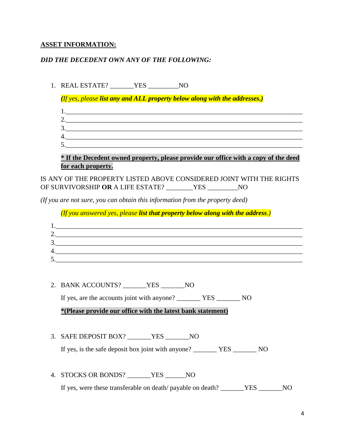## **ASSET INFORMATION:**

## *DID THE DECEDENT OWN ANY OF THE FOLLOWING:*

| 1. | REAL ESTATE? __________YES _____________NO                                                                                         |
|----|------------------------------------------------------------------------------------------------------------------------------------|
|    | (If yes, please list any and ALL property below along with the addresses.)                                                         |
|    |                                                                                                                                    |
|    | 2.                                                                                                                                 |
|    | $3.$ $\overline{\phantom{a}}$                                                                                                      |
|    |                                                                                                                                    |
|    | * If the Decedent owned property, please provide our office with a copy of the deed                                                |
|    | for each property.                                                                                                                 |
|    | IS ANY OF THE PROPERTY LISTED ABOVE CONSIDERED JOINT WITH THE RIGHTS<br>OF SURVIVORSHIP OR A LIFE ESTATE? ________YES __________NO |
|    | (If you are not sure, you can obtain this information from the property deed)                                                      |
|    | (If you answered yes, please list that property below along with the address.)                                                     |
|    |                                                                                                                                    |
|    |                                                                                                                                    |
|    | 3.                                                                                                                                 |
|    |                                                                                                                                    |
|    |                                                                                                                                    |
| 2. | BANK ACCOUNTS? _______YES _______NO                                                                                                |
|    | If yes, are the accounts joint with anyone? ___________ YES _________ NO                                                           |
|    | *(Please provide our office with the latest bank statement)                                                                        |
|    |                                                                                                                                    |
|    | 3. SAFE DEPOSIT BOX? ______YES ______NO                                                                                            |
|    |                                                                                                                                    |
|    |                                                                                                                                    |
| 4. | STOCKS OR BONDS? _______YES _______NO                                                                                              |
|    | If yes, were these transferable on death/ payable on death? _______YES _______NO                                                   |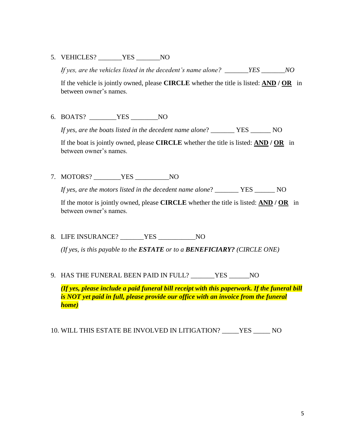5. VEHICLES? YES NO

*If yes, are the vehicles listed in the decedent's name alone? \_\_\_\_\_\_\_YES \_\_\_\_\_\_\_NO*

If the vehicle is jointly owned, please **CIRCLE** whether the title is listed: **AND / OR** in between owner's names.

6. BOATS? \_\_\_\_\_\_\_\_YES \_\_\_\_\_\_\_\_NO

*If yes, are the boats listed in the decedent name alone*? \_\_\_\_\_\_\_ YES \_\_\_\_\_\_ NO

If the boat is jointly owned, please **CIRCLE** whether the title is listed: **AND / OR** in between owner's names.

7. MOTORS? YES NO

*If yes, are the motors listed in the decedent name alone*? \_\_\_\_\_\_\_ YES \_\_\_\_\_\_ NO

If the motor is jointly owned, please **CIRCLE** whether the title is listed: **AND / OR** in between owner's names.

8. LIFE INSURANCE? \_\_\_\_\_\_\_YES \_\_\_\_\_\_\_\_\_\_\_NO

*(If yes, is this payable to the ESTATE or to a BENEFICIARY? (CIRCLE ONE)*

9. HAS THE FUNERAL BEEN PAID IN FULL? \_\_\_\_\_\_\_YES \_\_\_\_\_\_NO

*(If yes, please include a paid funeral bill receipt with this paperwork. If the funeral bill is NOT yet paid in full, please provide our office with an invoice from the funeral home)*

10. WILL THIS ESTATE BE INVOLVED IN LITIGATION? \_\_\_\_\_YES \_\_\_\_\_ NO